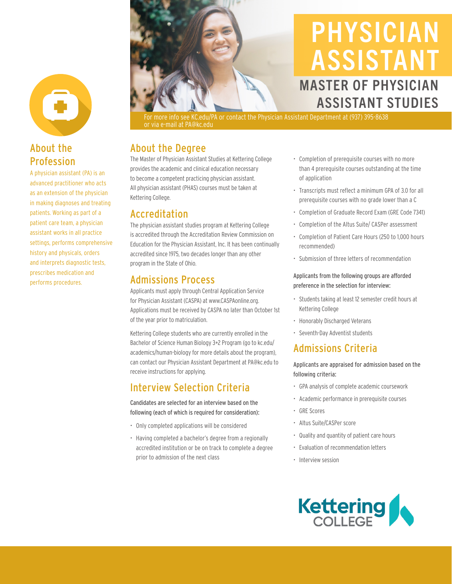## About the Profession

A physician assistant (PA) is an advanced practitioner who acts as an extension of the physician in making diagnoses and treating patients. Working as part of a patient care team, a physician assistant works in all practice settings, performs comprehensive history and physicals, orders and interprets diagnostic tests, prescribes medication and performs procedures.



# PHYSICIAN ASSISTANT MASTER OF PHYSICIAN ASSISTANT STUDIES

For more info see KC.edu/PA or contact the Physician Assistant Department at (937) 395-8638 or via e-mail at PA@kc.edu

## About the Degree

The Master of Physician Assistant Studies at Kettering College provides the academic and clinical education necessary to become a competent practicing physician assistant. All physician assistant (PHAS) courses must be taken at Kettering College.

## Accreditation

The physician assistant studies program at Kettering College is accredited through the Accreditation Review Commission on Education for the Physician Assistant, Inc. It has been continually accredited since 1975, two decades longer than any other program in the State of Ohio.

## Admissions Process

Applicants must apply through Central Application Service for Physician Assistant (CASPA) at www.CASPAonline.org. Applications must be received by CASPA no later than October 1st of the year prior to matriculation.

Kettering College students who are currently enrolled in the Bachelor of Science Human Biology 3+2 Program (go to kc.edu/ academics/human-biology for more details about the program), can contact our Physician Assistant Department at PA@kc.edu to receive instructions for applying.

# Interview Selection Criteria

Candidates are selected for an interview based on the following (each of which is required for consideration):

- Only completed applications will be considered
- Having completed a bachelor's degree from a regionally accredited institution or be on track to complete a degree prior to admission of the next class
- Completion of prerequisite courses with no more than 4 prerequisite courses outstanding at the time of application
- Transcripts must reflect a minimum GPA of 3.0 for all prerequisite courses with no grade lower than a C
- Completion of Graduate Record Exam (GRE Code 7341)
- Completion of the Altus Suite/ CASPer assessment
- Completion of Patient Care Hours (250 to 1,000 hours recommended)
- Submission of three letters of recommendation

### Applicants from the following groups are afforded preference in the selection for interview:

- Students taking at least 12 semester credit hours at Kettering College
- Honorably Discharged Veterans
- Seventh-Day Adventist students

# Admissions Criteria

Applicants are appraised for admission based on the following criteria:

- GPA analysis of complete academic coursework
- Academic performance in prerequisite courses
- GRE Scores
- Altus Suite/CASPer score
- Quality and quantity of patient care hours
- Evaluation of recommendation letters
- Interview session